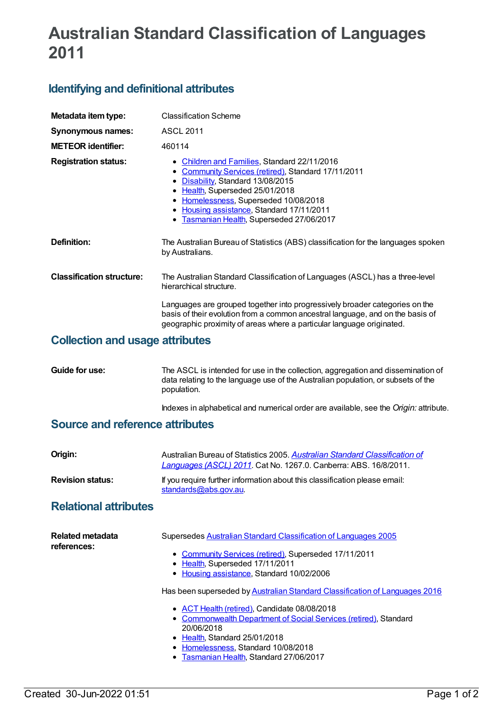# **Australian Standard Classification of Languages 2011**

## **Identifying and definitional attributes**

| Metadata item type:              | <b>Classification Scheme</b>                                                                                                                                                                                                                                                                                   |
|----------------------------------|----------------------------------------------------------------------------------------------------------------------------------------------------------------------------------------------------------------------------------------------------------------------------------------------------------------|
| Synonymous names:                | <b>ASCL 2011</b>                                                                                                                                                                                                                                                                                               |
| <b>METEOR identifier:</b>        | 460114                                                                                                                                                                                                                                                                                                         |
| <b>Registration status:</b>      | • Children and Families, Standard 22/11/2016<br>• Community Services (retired), Standard 17/11/2011<br>• Disability, Standard 13/08/2015<br>• Health, Superseded 25/01/2018<br>• Homelessness, Superseded 10/08/2018<br>• Housing assistance, Standard 17/11/2011<br>• Tasmanian Health, Superseded 27/06/2017 |
| Definition:                      | The Australian Bureau of Statistics (ABS) classification for the languages spoken<br>by Australians.                                                                                                                                                                                                           |
| <b>Classification structure:</b> | The Australian Standard Classification of Languages (ASCL) has a three-level<br>hierarchical structure.                                                                                                                                                                                                        |
|                                  | Languages are grouped together into progressively broader categories on the<br>basis of their evolution from a common ancestral language, and on the basis of<br>geographic proximity of areas where a particular language originated.                                                                         |
|                                  |                                                                                                                                                                                                                                                                                                                |

#### **Collection and usage attributes**

**Guide for use:** The ASCL is intended for use in the collection, aggregation and dissemination of data relating to the language use of the Australian population, or subsets of the population.

Indexes in alphabetical and numerical order are available, see the *Origin:* attribute.

### **Source and reference attributes**

| Origin:                                | Australian Bureau of Statistics 2005. Australian Standard Classification of<br>Languages (ASCL) 2011. Cat No. 1267.0. Canberra: ABS. 16/8/2011.                                                                                                                                                                                                                                                                                                                                                                                                                        |
|----------------------------------------|------------------------------------------------------------------------------------------------------------------------------------------------------------------------------------------------------------------------------------------------------------------------------------------------------------------------------------------------------------------------------------------------------------------------------------------------------------------------------------------------------------------------------------------------------------------------|
| <b>Revision status:</b>                | If you require further information about this classification please email:<br>standards@abs.gov.au                                                                                                                                                                                                                                                                                                                                                                                                                                                                     |
| <b>Relational attributes</b>           |                                                                                                                                                                                                                                                                                                                                                                                                                                                                                                                                                                        |
| <b>Related metadata</b><br>references: | Supersedes Australian Standard Classification of Languages 2005<br>• Community Services (retired), Superseded 17/11/2011<br>• Health, Superseded 17/11/2011<br>• Housing assistance, Standard 10/02/2006<br>Has been superseded by Australian Standard Classification of Languages 2016<br>• ACT Health (retired), Candidate 08/08/2018<br><b>Commonwealth Department of Social Services (retired), Standard</b><br>$\bullet$<br>20/06/2018<br>• Health, Standard 25/01/2018<br>Homelessness, Standard 10/08/2018<br>٠<br><b>Tasmanian Health, Standard 27/06/2017</b> |